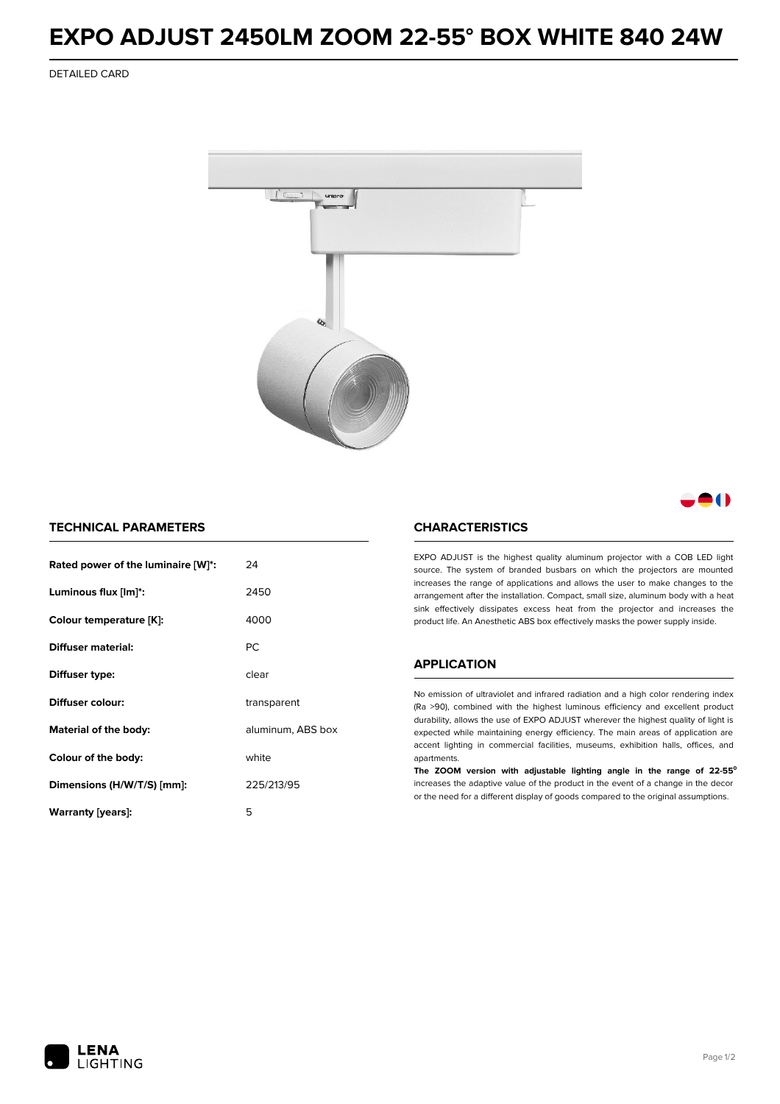## **EXPO ADJUST 2450LM ZOOM 22-55° BOX WHITE 840 24W**

DETAILED CARD



- 1

## **TECHNICAL PARAMETERS**

| Rated power of the luminaire [W]*: | 24                |
|------------------------------------|-------------------|
| Luminous flux [lm]*:               | 2450              |
| Colour temperature [K]:            | 4000              |
| Diffuser material:                 | <b>PC</b>         |
| Diffuser type:                     | clear             |
| Diffuser colour:                   | transparent       |
| Material of the body:              | aluminum, ABS box |
| Colour of the body:                | white             |
| Dimensions (H/W/T/S) [mm]:         | 225/213/95        |
| Warranty (years):                  | 5                 |

### **CHARACTERISTICS**

EXPO ADJUST is the highest quality aluminum projector with a COB LED light source. The system of branded busbars on which the projectors are mounted increases the range of applications and allows the user to make changes to the arrangement after the installation. Compact, small size, aluminum body with a heat sink effectively dissipates excess heat from the projector and increases the product life. An Anesthetic ABS box effectively masks the power supply inside.

#### **APPLICATION**

No emission of ultraviolet and infrared radiation and a high color rendering index (Ra >90), combined with the highest luminous efficiency and excellent product durability, allows the use of EXPO ADJUST wherever the highest quality of light is expected while maintaining energy efficiency. The main areas of application are accent lighting in commercial facilities, museums, exhibition halls, offices, and apartments.

**The ZOOM version with adjustable lighting angle in the range of 22-55⁰** increases the adaptive value of the product in the event of a change in the decor or the need for a different display of goods compared to the original assumptions.